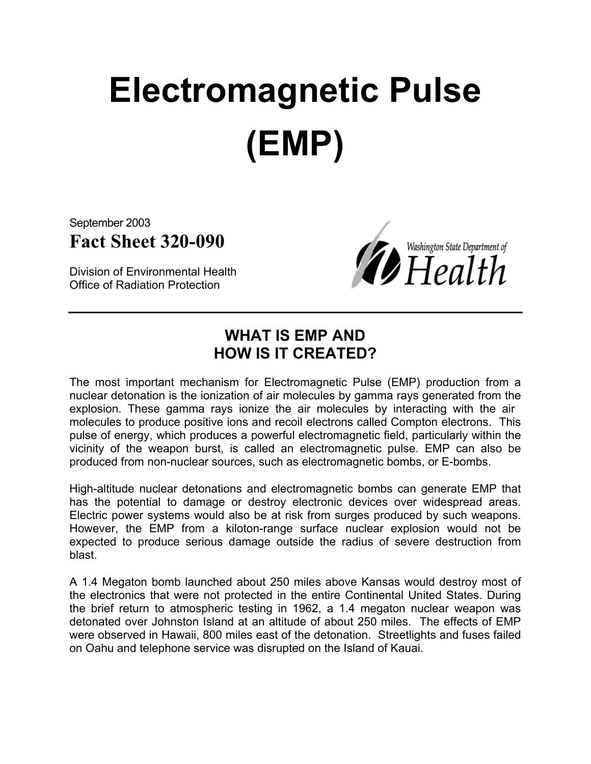# **Electromagnetic Pulse (EMP)**

September 2003 **Fact Sheet 320-090**

Division of Environmental Health Office of Radiation Protection



### **WHAT IS EMP AND HOW IS IT CREATED?**

The most important mechanism for Electromagnetic Pulse (EMP) production from a nuclear detonation is the ionization of air molecules by gamma rays generated from the explosion. These gamma rays ionize the air molecules by interacting with the air molecules to produce positive ions and recoil electrons called Compton electrons. This pulse of energy, which produces a powerful electromagnetic field, particularly within the vicinity of the weapon burst, is called an electromagnetic pulse. EMP can also be produced from non-nuclear sources, such as electromagnetic bombs, or E-bombs.

High-altitude nuclear detonations and electromagnetic bombs can generate EMP that has the potential to damage or destroy electronic devices over widespread areas. Electric power systems would also be at risk from surges produced by such weapons. However, the EMP from a kiloton-range surface nuclear explosion would not be expected to produce serious damage outside the radius of severe destruction from blast.

A 1.4 Megaton bomb launched about 250 miles above Kansas would destroy most of the electronics that were not protected in the entire Continental United States. During the brief return to atmospheric testing in 1962, a 1.4 megaton nuclear weapon was detonated over Johnston Island at an altitude of about 250 miles. The effects of EMP were observed in Hawaii, 800 miles east of the detonation. Streetlights and fuses failed on Oahu and telephone service was disrupted on the Island of Kauai.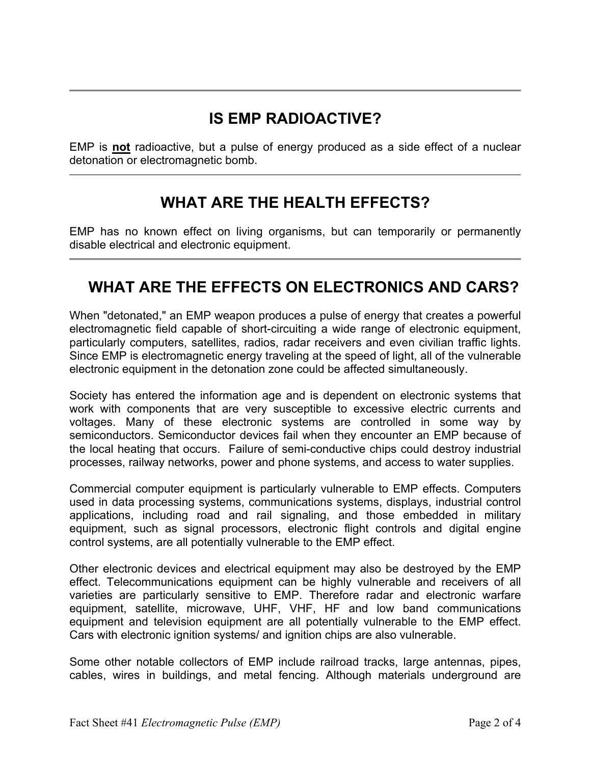## **IS EMP RADIOACTIVE?**

EMP is **not** radioactive, but a pulse of energy produced as a side effect of a nuclear detonation or electromagnetic bomb.

#### **WHAT ARE THE HEALTH EFFECTS?**

EMP has no known effect on living organisms, but can temporarily or permanently disable electrical and electronic equipment.

#### **WHAT ARE THE EFFECTS ON ELECTRONICS AND CARS?**

When "detonated," an EMP weapon produces a pulse of energy that creates a powerful electromagnetic field capable of short-circuiting a wide range of electronic equipment, particularly computers, satellites, radios, radar receivers and even civilian traffic lights. Since EMP is electromagnetic energy traveling at the speed of light, all of the vulnerable electronic equipment in the detonation zone could be affected simultaneously.

Society has entered the information age and is dependent on electronic systems that work with components that are very susceptible to excessive electric currents and voltages. Many of these electronic systems are controlled in some way by semiconductors. Semiconductor devices fail when they encounter an EMP because of the local heating that occurs. Failure of semi-conductive chips could destroy industrial processes, railway networks, power and phone systems, and access to water supplies.

Commercial computer equipment is particularly vulnerable to EMP effects. Computers used in data processing systems, communications systems, displays, industrial control applications, including road and rail signaling, and those embedded in military equipment, such as signal processors, electronic flight controls and digital engine control systems, are all potentially vulnerable to the EMP effect.

Other electronic devices and electrical equipment may also be destroyed by the EMP effect. Telecommunications equipment can be highly vulnerable and receivers of all varieties are particularly sensitive to EMP. Therefore radar and electronic warfare equipment, satellite, microwave, UHF, VHF, HF and low band communications equipment and television equipment are all potentially vulnerable to the EMP effect. Cars with electronic ignition systems/ and ignition chips are also vulnerable.

Some other notable collectors of EMP include railroad tracks, large antennas, pipes, cables, wires in buildings, and metal fencing. Although materials underground are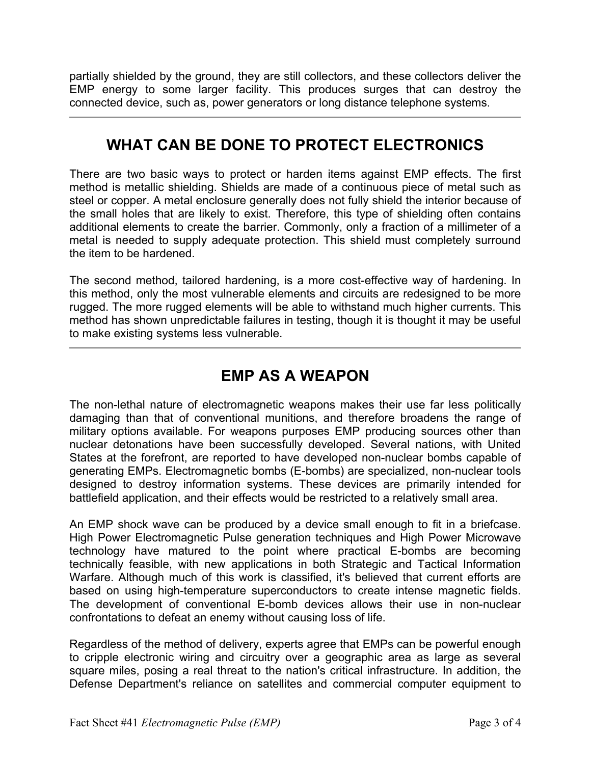partially shielded by the ground, they are still collectors, and these collectors deliver the EMP energy to some larger facility. This produces surges that can destroy the connected device, such as, power generators or long distance telephone systems.

#### **WHAT CAN BE DONE TO PROTECT ELECTRONICS**

There are two basic ways to protect or harden items against EMP effects. The first method is metallic shielding. Shields are made of a continuous piece of metal such as steel or copper. A metal enclosure generally does not fully shield the interior because of the small holes that are likely to exist. Therefore, this type of shielding often contains additional elements to create the barrier. Commonly, only a fraction of a millimeter of a metal is needed to supply adequate protection. This shield must completely surround the item to be hardened.

The second method, tailored hardening, is a more cost-effective way of hardening. In this method, only the most vulnerable elements and circuits are redesigned to be more rugged. The more rugged elements will be able to withstand much higher currents. This method has shown unpredictable failures in testing, though it is thought it may be useful to make existing systems less vulnerable.

#### **EMP AS A WEAPON**

The non-lethal nature of electromagnetic weapons makes their use far less politically damaging than that of conventional munitions, and therefore broadens the range of military options available. For weapons purposes EMP producing sources other than nuclear detonations have been successfully developed. Several nations, with United States at the forefront, are reported to have developed non-nuclear bombs capable of generating EMPs. Electromagnetic bombs (E-bombs) are specialized, non-nuclear tools designed to destroy information systems. These devices are primarily intended for battlefield application, and their effects would be restricted to a relatively small area.

An EMP shock wave can be produced by a device small enough to fit in a briefcase. High Power Electromagnetic Pulse generation techniques and High Power Microwave technology have matured to the point where practical E-bombs are becoming technically feasible, with new applications in both Strategic and Tactical Information Warfare. Although much of this work is classified, it's believed that current efforts are based on using high-temperature superconductors to create intense magnetic fields. The development of conventional E-bomb devices allows their use in non-nuclear confrontations to defeat an enemy without causing loss of life.

Regardless of the method of delivery, experts agree that EMPs can be powerful enough to cripple electronic wiring and circuitry over a geographic area as large as several square miles, posing a real threat to the nation's critical infrastructure. In addition, the Defense Department's reliance on satellites and commercial computer equipment to